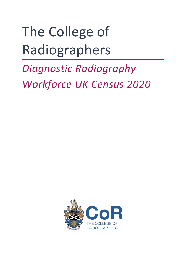# The College of Radiographers

## *Diagnostic Radiography Workforce UK Census 2020*

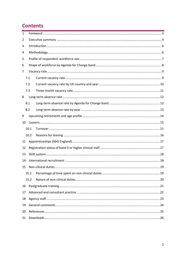#### **Contents**

| 1  |      |  |  |
|----|------|--|--|
| 2  |      |  |  |
| 3  |      |  |  |
| 4  |      |  |  |
| 5  |      |  |  |
| 6  |      |  |  |
| 7  |      |  |  |
|    | 7.1  |  |  |
|    | 7.2  |  |  |
|    | 7.3  |  |  |
| 8  |      |  |  |
|    | 8.1  |  |  |
|    | 8.2  |  |  |
| 9  |      |  |  |
| 10 |      |  |  |
|    | 10.1 |  |  |
|    | 10.2 |  |  |
| 11 |      |  |  |
| 12 |      |  |  |
| 13 |      |  |  |
| 14 |      |  |  |
| 15 |      |  |  |
|    | 15.1 |  |  |
|    | 15.2 |  |  |
| 16 |      |  |  |
| 17 |      |  |  |
| 18 |      |  |  |
| 19 |      |  |  |
| 20 |      |  |  |
| 21 |      |  |  |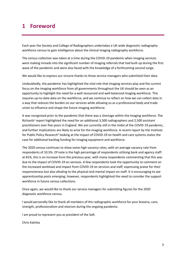#### <span id="page-2-0"></span>**1 Foreword**

Each year the Society and College of Radiographers undertakes a UK-wide diagnostic radiography workforce census to gain intelligence about the clinical imaging radiography workforce.

The census collection was taken at a time during the COVID-19 pandemic when imaging services were making inroads into the significant number of imaging referrals that had built up during the first wave of the pandemic and were also faced with the knowledge of a forthcoming second surge.

We would like to express our sincere thanks to those service managers who submitted their data.

Undoubtedly, the pandemic has highlighted the vital role that imaging services play and the current focus on the imaging workforce from all governments throughout the UK should be seen as an opportunity to highlight the need for a well-resourced and well-balanced imaging workforce. This requires up-to-date data on the workforce, and we continue to reflect on how we can collect data in a way that reduces the burden on our services while allowing us as a professional body and trade union to influence and shape the future imaging workforce.

It was recognised prior to the pandemic that there was a shortage within the imaging workforce. The Richards<sup>1</sup> report highlighted the need for an additional 3,500 radiographers and 2,500 assistant practitioners over five years in England. We are currently still in the midst of the COVID-19 pandemic, and further implications are likely to arise for the imaging workforce. A recent report by the Institute for Public Policy Research<sup>2</sup> looking at the impact of COVID-19 on health and care systems states the case for additional backlog funding for imaging equipment and workforce.

The 2020 census continues to show some high vacancy rates, with an average vacancy rate from respondents of 10.5%. Of note is the high percentage of respondents utilising bank and agency staff: at 81%, this is an increase from the previous year, with many respondents commenting that this was due to the impact of COVID-19 on services. A few respondents took the opportunity to comment on the increased workload and impact from COVID-19 on services and staff, expressing praise for their responsiveness but also alluding to the physical and mental impact on staff. It is encouraging to see apprenticeship posts emerging; however, respondents highlighted the need to consider the support workforce in future census collections.

Once again, we would like to thank our service managers for submitting figures for the 2020 diagnostic workforce census.

I would personally like to thank all members of the radiographic workforce for your bravery, care, strength, professionalism and stoicism during the ongoing pandemic.

I am proud to represent you as president of the SoR.

Chris Kalinka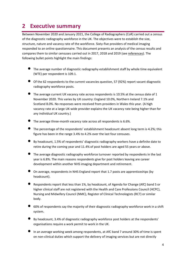### <span id="page-3-0"></span>**2 Executive summary**

Between November 2020 and January 2021, the College of Radiographers (CoR) carried out a census of the diagnostic radiography workforce in the UK. The objectives were to establish the size, structure, nature and vacancy rate of the workforce. Sixty-five providers of medical imaging responded to an online questionnaire. This document presents an analysis of the census results and compares them to similar censuses carried out in 2017, 2018 and 2019 (see [references\)](#page-24-0). The following bullet points highlight the main findings:

- The average number of diagnostic radiography establishment staff by whole time equivalent (WTE) per respondent is 109.1.
- Of the 62 respondents to the current vacancies question, 57 (92%) report vacant diagnostic radiography workforce posts.
- The average current UK vacancy rate across respondents is 10.5% at the census date of 1 November 2020. This varies by UK country: England 10.0%, Northern Ireland 7.1% and Scotland 8.0%. No responses were received from providers in Wales this year. (A high vacancy rate at a large UK-wide provider explains the UK vacancy rate being higher than for any individual UK country.)
- $\bullet$  The average three-month vacancy rate across all respondents is 6.6%.
- The percentage of the respondents' establishment headcount absent long term is 4.2%; this figure has been in the range 3.4% to 4.2% over the last four censuses.
- By headcount, 1.5% of respondents' diagnostic radiography workers have a definite date to retire during the coming year and 11.4% of post holders are aged 55 years or above.
- The average diagnostic radiography workforce turnover reported by respondents in the last year is 6.8%. The main reasons respondents give for post holders leaving are career development within another NHS imaging department and retirement.
- On average, respondents in NHS England report that 1.7 posts are apprenticeships (by headcount).
- Respondents report that less than 1%, by headcount, of Agenda for Change (AfC) band 5 or higher clinical staff are not registered with the Health and Care Professions Council (HCPC), Nursing and Midwifery Council (NMC), Register of Clinical Technologists (RCT) or similar body.
- 60% of respondents say the majority of their diagnostic radiography workforce work in a shift system.
- By headcount, 3.4% of diagnostic radiography workforce post holders at the respondents' organisations require a work permit to work in the UK.
- In an average working week among respondents, at AfC band 7 around 30% of time is spent on non-clinical duties which support the delivery of imaging services but are not directly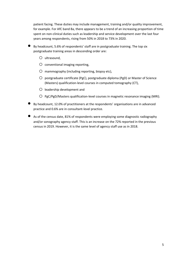patient facing. These duties may include management, training and/or quality improvement, for example. For AfC band 8a, there appears to be a trend of an increasing proportion of time spent on non-clinical duties such as leadership and service development over the last four years among respondents, rising from 50% in 2018 to 73% in 2020.

- By headcount, 5.6% of respondents' staff are in postgraduate training. The top six postgraduate training areas in descending order are:
	- $O$  ultrasound.
	- $O$  conventional imaging reporting,
	- $O$  mammography (including reporting, biopsy etc),
	- $O$  postgraduate certificate (PgC), postgraduate diploma (PgD) or Master of Science (Masters) qualification-level courses in computed tomography (CT),
	- o leadership development and
	- $O$  PgC/PgD/Masters qualification-level courses in magnetic resonance imaging (MRI).
- By headcount, 12.0% of practitioners at the respondents' organisations are in advanced practice and 0.6% are in consultant-level practice.
- As of the census date, 81% of respondents were employing some diagnostic radiography and/or sonography agency staff. This is an increase on the 72% reported in the previous census in 2019. However, it is the same level of agency staff use as in 2018.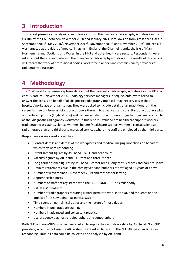#### <span id="page-5-0"></span>**3 Introduction**

This report presents an analysis of an online census of the diagnostic radiography workforce in the UK run by the CoR between November 2020 and January 2021. It follows on from similar censuses in September 2014<sup>3</sup>, May 2016<sup>4</sup>, November 2017<sup>5</sup>, November 2018<sup>6</sup> and November 2019<sup>7</sup>. The census was targeted at providers of medical imaging in England, the Channel Islands, the Isle of Man, Northern Ireland, Scotland and Wales, in the NHS and other healthcare sectors. Respondents were asked about the size and nature of their diagnostic radiography workforce. The results of this census will inform the work of professional bodies, workforce planners and commissioners/providers of radiography education.

## <span id="page-5-1"></span>**4 Methodology**

The 2020 workforce census captures data about the diagnostic radiography workforce in the UK at a census date of 1 November 2020. Radiology services managers (or equivalents) were asked to answer the census on behalf of all diagnostic radiography (medical imaging) services in their hospital/workplace or organisation. They were asked to include details of all practitioners in the career framework from assistant practitioners through to advanced and consultant practitioners plus apprenticeship posts (England only) and trainee assistant practitioners. Together they are referred to as the 'diagnostic radiography workforce' in this report. Excluded are healthcare support workers (radiographic assistants, clerical workers, helpers/healthcare support workers), clinical scientists, radiotherapy staff and third-party managed services where the staff are employed by the third party.

Respondents were asked about their:

- Contact details and details of the workplaces and medical imaging modalities on behalf of which they were responding
- Establishment figures by AfC band WTE and headcount
- Vacancy figures by AfC band current and three-month
- Long-term absence figures by AfC band career break, long-term sickness and parental leave
- Definite retirements due in the coming year and numbers of staff aged 55 years or above
- Number of leavers since 1 November 2019 and reasons for leaving
- Apprenticeship posts
- Numbers of staff not registered with the HCPC, NMC, RCT or similar body.
- Use of a shift system
- Number of radiographers requiring a work permit to work in the UK and thoughts on the impact of the new points-based visa system
- Time spent on non-clinical duties and the nature of those duties
- Numbers in postgraduate training
- Numbers in advanced and consultant practice
- Use of agency diagnostic radiographers and sonographers

Both NHS and non-NHS providers were asked to supply their workforce data by AfC band. Non-NHS providers, who may not use the AfC system, were asked to refer to the NHS AfC pay bands before responding. Thus, all data could be collected and analysed by AfC band.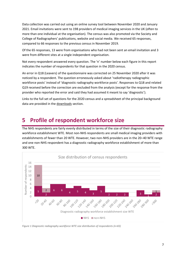Data collection was carried out using an online survey tool between November 2020 and January 2021. Email invitations were sent to 198 providers of medical imaging services in the UK (often to more than one individual at the organisation). The census was also promoted via the Society and College of Radiographers' publications, website and social media. We received 65 responses, compared to 66 responses to the previous census in November 2019.

Of the 65 responses, 13 were from organisations who had not been sent an email invitation and 3 were from different sites at a single independent organisation.

Not every respondent answered every question. The 'n' number below each figure in this report indicates the number of respondents for that question in the 2020 census.

An error in Q18 (Leavers) of the questionnaire was corrected on 25 November 2020 after it was noticed by a respondent. The question erroneously asked about 'radiotherapy radiographic workforce posts' instead of 'diagnostic radiography workforce posts'. Responses to Q18 and related Q19 received before the correction are excluded from the analysis (except for the response from the provider who reported the error and said they had assumed it meant to say 'diagnostic').

Links to the full set of questions for the 2020 census and a spreadsheet of the principal background data are provided in the [downloads](#page-25-0) section.

#### <span id="page-6-0"></span>**5 Profile of respondent workforce size**

The NHS respondents are fairly evenly distributed in terms of the size of their diagnostic radiography workforce establishment WTE. Most non-NHS respondents are small medical imaging providers with establishments of fewer than 20 WTE. However, two non-NHS providers are in the 20–40 WTE range and one non-NHS respondent has a diagnostic radiography workforce establishment of more than 300 WTE.



*Figure 1 Diagnostic radiography workforce WTE size distribution of respondents (n=65)*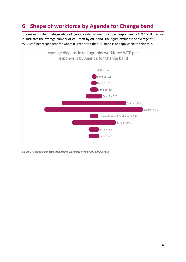## <span id="page-7-0"></span>**6 Shape of workforce by Agenda for Change band**

The mean number of diagnostic radiography establishment staff per respondent is 109.1 WTE. Figure 2 illustrates the average number of WTE staff by AfC band. The figure excludes the average of 1.1 WTE staff per respondent for whom it is reported that AfC band is not applicable to their role.



*Figure 2 Average diagnostic radiography workforce WTE by AfC band (n=65)*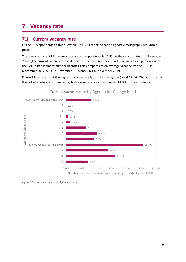## <span id="page-8-0"></span>**7 Vacancy rate**

#### <span id="page-8-1"></span>**7.1 Current vacancy rate**

Of the 62 respondents to this question, 57 (92%) report vacant diagnostic radiography workforce posts.

The average current UK vacancy rate across respondents is 10.5% at the census date of 1 November 2020. (The current vacancy rate is defined as the total number of WTE vacancies as a percentage of the WTE establishment number of staff.) This compares to an average vacancy rate of 9.1% in November 2017, 9.0% in November 2018 and 9.6% in November 2019.

Figure 3 illustrates that the highest vacancy rate is at the linked grade (band 5 to 6). The vacancies at the linked grade are dominated by high vacancy rates at two English NHS Trust respondents.



*Figure 3 Current vacancy rate by AfC band (n=62)*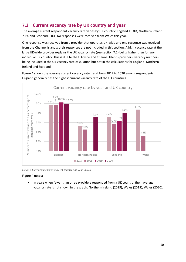#### <span id="page-9-0"></span>**7.2 Current vacancy rate by UK country and year**

The average current respondent vacancy rate varies by UK country: England 10.0%, Northern Ireland 7.1% and Scotland 8.0%. No responses were received from Wales this year.

One response was received from a provider that operates UK-wide and one response was received from the Channel Islands; their responses are not included in this section. A high vacancy rate at the large UK-wide provider explains the UK vacancy rate (see section 7.1) being higher than for any individual UK country. This is due to the UK-wide and Channel Islands providers' vacancy numbers being included in the UK vacancy rate calculation but not in the calculations for England, Northern Ireland and Scotland.

Figure 4 shows the average current vacancy rate trend from 2017 to 2020 among respondents. England generally has the highest current vacancy rate of the UK countries.



*Figure 4 Current vacancy rate by UK country and year (n=60)*

Figure 4 notes:

• In years when fewer than three providers responded from a UK country, their average vacancy rate is not shown in the graph: Northern Ireland (2019); Wales (2019); Wales (2020).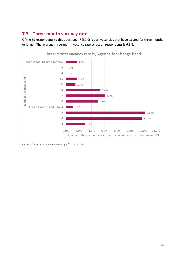#### <span id="page-10-0"></span>**7.3 Three-month vacancy rate**

Of the 59 respondents to this question, 47 (80%) report vacancies that have existed for three months or longer. The average three-month vacancy rate across all respondents is 6.6%.



*Figure 5 Three-month vacancy rate by AfC band (n=59)*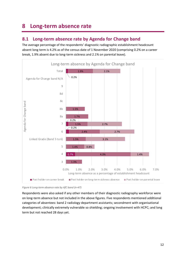## <span id="page-11-0"></span>**8 Long-term absence rate**

#### <span id="page-11-1"></span>**8.1 Long-term absence rate by Agenda for Change band**

The average percentage of the respondents' diagnostic radiographic establishment headcount absent long term is 4.2% as of the census date of 1 November 2020 (comprising 0.2% on a career break, 1.9% absent due to long-term sickness and 2.1% on parental leave).



*Figure 6 Long-term absence rate by AfC band (n=47)*

Respondents were also asked if any other members of their diagnostic radiography workforce were on long-term absence but not included in the above figures. Five respondents mentioned additional categories of absentees: band 2 radiology department assistants; secondment with organisational development; clinically extremely vulnerable so shielding; ongoing involvement with HCPC; and long term but not reached 28 days yet.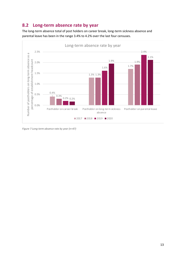#### <span id="page-12-0"></span>**8.2 Long-term absence rate by year**

The long-term absence total of post holders on career break, long-term sickness absence and parental leave has been in the range 3.4% to 4.2% over the last four censuses.



*Figure 7 Long-term absence rate by year (n=47)*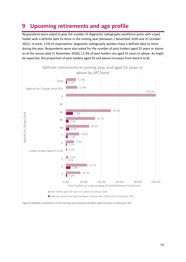## <span id="page-13-0"></span>**9 Upcoming retirements and age profile**

Respondents were asked to give the number of diagnostic radiography workforce posts with a post holder with a definite date to retire in the coming year (between 1 November 2020 and 31 October 2021). In total, 1.5% of respondents' diagnostic radiography workers have a definite date to retire during the year. Respondents were also asked for the number of post holders aged 55 years or above as of the census date (1 November 2020); 11.4% of post holders are aged 55 years or above. As might be expected, the proportion of post holders aged 55 and above increases from band 6 to 8c.



*Figure 8 Definite retirements in the coming year and post holders aged 55 years or above (n=47)*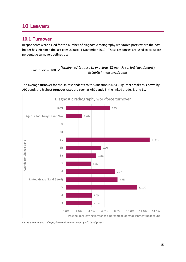#### <span id="page-14-0"></span>**10 Leavers**

#### <span id="page-14-1"></span>**10.1 Turnover**

Respondents were asked for the number of diagnostic radiography workforce posts where the post holder has left since the last census date (1 November 2019). These responses are used to calculate percentage turnover, defined as:

 $Turnover = 100 \times$ Number of leavers in previous 12 month period (headcount) Establishment headcount

The average turnover for the 34 respondents to this question is 6.8%. Figure 9 breaks this down by AfC band; the highest turnover rates are seen at AfC bands 5, the linked grade, 6, and 8c.



*Figure 9 Diagnostic radiography workforce turnover by AfC band (n=34)*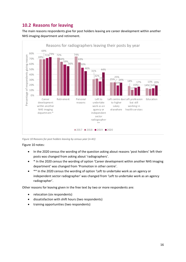#### <span id="page-15-0"></span>**10.2 Reasons for leaving**

The main reasons respondents give for post holders leaving are career development within another NHS imaging department and retirement.



*Figure 10 Reasons for post holders leaving by census year (n=41)*

Figure 10 notes:

- In the 2020 census the wording of the question asking about reasons 'post holders' left their posts was changed from asking about 'radiographers'.
- \* In the 2020 census the wording of option 'Career development within another NHS imaging department' was changed from 'Promotion in other centre'.
- \*\* In the 2020 census the wording of option 'Left to undertake work as an agency or independent sector radiographer' was changed from 'Left to undertake work as an agency radiographer'.

Other reasons for leaving given in the free text by two or more respondents are:

- relocation (six respondents)
- dissatisfaction with shift hours (two respondents)
- training opportunities (two respondents)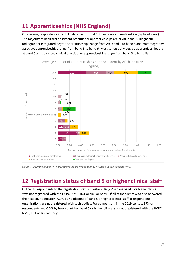## <span id="page-16-0"></span>**11 Apprenticeships (NHS England)**

On average, respondents in NHS England report that 1.7 posts are apprenticeships (by headcount). The majority of healthcare assistant practitioner apprenticeships are at AfC band 3. Diagnostic radiographer integrated degree apprenticeships range from AfC band 2 to band 5 and mammography associate apprenticeships range from band 3 to band 6. Most sonography degree apprenticeships are at band 6 and advanced clinical practitioner apprenticeships range from band 6 to band 8a.



*Figure 11 Average number of apprenticeships per respondent by AfC band in NHS England (n=42)*

## <span id="page-16-1"></span>**12 Registration status of band 5 or higher clinical staff**

Of the 58 respondents to the registration status question, 16 (28%) have band 5 or higher clinical staff not registered with the HCPC, NMC, RCT or similar body. Of all respondents who also answered the headcount question, 0.9% by headcount of band 5 or higher clinical staff at respondents' organisations are not registered with such bodies. For comparison, in the 2019 census, 17% of respondents and 0.5% by headcount had band 5 or higher clinical staff not registered with the HCPC, NMC, RCT or similar body.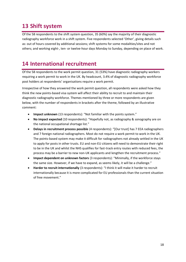## <span id="page-17-0"></span>**13 Shift system**

Of the 58 respondents to the shift system question, 35 (60%) say the majority of their diagnostic radiography workforce work in a shift system. Five respondents selected 'Other', giving details such as: out of hours covered by additional sessions; shift systems for some modalities/sites and not others; and working eight-, ten- or twelve-hour days Monday to Sunday, depending on place of work.

#### <span id="page-17-1"></span>**14 International recruitment**

Of the 58 respondents to the work permit question, 31 (53%) have diagnostic radiography workers requiring a work permit to work in the UK. By headcount, 3.4% of diagnostic radiography workforce post holders at respondents' organisations require a work permit.

Irrespective of how they answered the work permit question, all respondents were asked how they think the new points-based visa system will affect their ability to recruit to and maintain their diagnostic radiography workforce. Themes mentioned by three or more respondents are given below, with the number of respondents in brackets after the theme, followed by an illustrative comment:

- **Impact unknown** (13 respondents): "Not familiar with the points system."
- **No impact expected** (10 respondents): "Hopefully not, as radiography & sonography are on the national occupational shortage list."
- **Delays in recruitment process possible** (4 respondents): "[Our trust] has 7 EEA radiographers and 7 foreign national radiographers. Most do not require a work permit to work in the UK. The points-based system may make it difficult for radiographers not already settled in the UK to apply for posts in other trusts. EU and non-EU citizens will need to demonstrate their right to be in the UK and whilst the NHS qualifies for fast-track entry routes with reduced fees, the process may be a barrier to new non-UK applicants and lengthen the recruitment process."
- **Impact dependent on unknown factors** (3 respondents): "Minimally, if the workforce stays the same size. However, if we have to expand, as seems likely, it will be a challenge."
- **Harder to recruit internationally** (3 respondents): "I think it will make it harder to recruit internationally because it is more complicated for EU professionals than the current situation of free movement."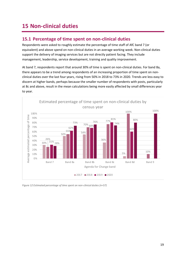## <span id="page-18-0"></span>**15 Non-clinical duties**

#### <span id="page-18-1"></span>**15.1 Percentage of time spent on non-clinical duties**

Respondents were asked to roughly estimate the percentage of time staff of AfC band 7 (or equivalent) and above spend on non-clinical duties in an average working week. Non-clinical duties support the delivery of imaging services but are not directly patient facing. They include management, leadership, service development, training and quality improvement.

At band 7, respondents report that around 30% of time is spent on non-clinical duties. For band 8a, there appears to be a trend among respondents of an increasing proportion of time spent on nonclinical duties over the last four years, rising from 50% in 2018 to 73% in 2020. Trends are less easy to discern at higher bands, perhaps because the smaller number of respondents with posts, particularly at 8c and above, result in the mean calculations being more easily affected by small differences year to year.



*Figure 12 Estimated percentage of time spent on non-clinical duties (n=57)*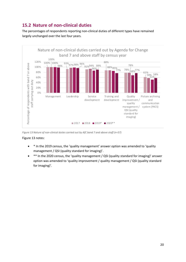#### <span id="page-19-0"></span>**15.2 Nature of non-clinical duties**

The percentages of respondents reporting non-clinical duties of different types have remained largely unchanged over the last four years.



*Figure 13 Nature of non-clinical duties carried out by AfC band 7 and above staff (n=57)*

#### Figure 13 notes:

- \* In the 2019 census, the 'quality management' answer option was amended to 'quality management / QSI (quality standard for imaging)'.
- \*\* In the 2020 census, the 'quality management / QSI (quality standard for imaging)' answer option was amended to 'quality improvement / quality management / QSI (quality standard for imaging)'.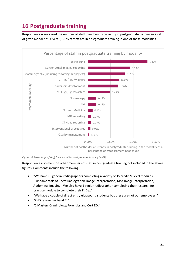## <span id="page-20-0"></span>**16 Postgraduate training**

Respondents were asked the number of staff (headcount) currently in postgraduate training in a set of given modalities. Overall, 5.6% of staff are in postgraduate training in one of these modalities.



*Figure 14 Percentage of staff (headcount) in postgraduate training (n=47)*

Respondents also mention other members of staff in postgraduate training not included in the above figures. Comments include the following:

- "We have 15 general radiographers completing a variety of 15 credit M level modules (Fundamentals of Chest Radiographic Image Interpretation, MSK Image Interpretation, Abdominal Imaging). We also have 1 senior radiographer completing their research for practice module to complete their PgDip."
- "We have a couple of direct entry ultrasound students but these are not our employees."
- "PHD research band 7."
- "1 Masters Criminology/Forensics and Cert ED."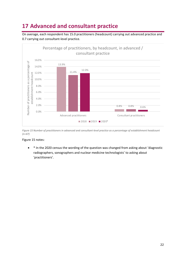## <span id="page-21-0"></span>**17 Advanced and consultant practice**

On average, each respondent has 15.0 practitioners (headcount) carrying out advanced practice and 0.7 carrying out consultant-level practice.



*Figure 15 Number of practitioners in advanced and consultant-level practice as a percentage of establishment headcount (n=47)*

#### Figure 15 notes:

• \* In the 2020 census the wording of the question was changed from asking about 'diagnostic radiographers, sonographers and nuclear medicine technologists' to asking about 'practitioners'.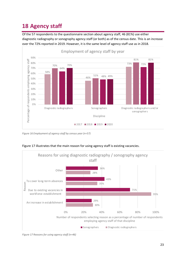## <span id="page-22-0"></span>**18 Agency staff**

Of the 57 respondents to the questionnaire section about agency staff, 46 (81%) use either diagnostic radiography or sonography agency staff (or both) as of the census date. This is an increase over the 72% reported in 2019. However, it is the same level of agency staff use as in 2018.



*Figure 16 Employment of agency staff by census year (n=57)*



#### Figure 17 illustrates that the main reason for using agency staff is existing vacancies.

*Figure 17 Reasons for using agency staff (n=46)*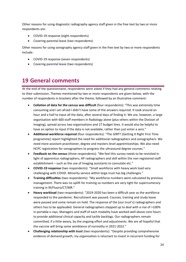Other reasons for using diagnostic radiography agency staff given in the free text by two or more respondents are:

- COVID-19 response (eight respondents)
- Covering parental leave (two respondents)

Other reasons for using sonography agency staff given in the free text by two or more respondents include:

- COVID-19 response (seven respondents)
- Covering parental leave (two respondents)

#### <span id="page-23-0"></span>**19 General comments**

At the end of the questionnaire, respondents were asked if they had any general comments relating to their submission. Themes mentioned by two or more respondents are given below, with the number of respondents in brackets after the theme, followed by an illustrative comment:

- **Collation of data for the census was difficult** (four respondents): "This was extremely time consuming and I am afraid I didn't have some of the answers required. It took around an hour and a half to input all the data, after several days of finding it. We are, however, a large organisation with 600 staff members in Radiology alone (plus others within the Division of Imaging), spread across two organisations and 27 budget lines. It would also be helpful to have an option to input if the data is not available, rather than just enter a zero."
- **Additional workforce required** (four respondents): "The GIRFT [Getting It Right First Time programme] report highlighted the need for additional radiographers and sonographers. We need more assistant practitioner, degree and masters level apprenticeships. We also need HCPC registration for sonographers to progress the ultrasound degree courses."
- **Feedback on the census** (three respondents): "We feel this survey needs to be revisited in light of apprentice radiographers, AP radiographers and skill within the non-registered staff establishment – such as the use of Imaging assistants to cannulate etc."
- **COVID-19 response** (two respondents): "Small workforce with heavy work load very challenging with COVID. Minority service within large trust has big challenges."
- **Training difficulties** (two respondents): "My workforce numbers were calculated by previous management. There was no uplift for training so numbers are very tight for supernumerary training in IR/Fluoro/CT/MR."
- **Heavy workload** (two respondents): "2019-2020 has been a difficult year as the workforce responded to the pandemic. Recruitment was paused. Courses, training and study leave were paused and some remain on hold. The response of the [our trust's] radiographers and others has to be applauded. General radiographers stepped up to deal with a rise of >100% in portable x-rays. Managers and staff of each modality have worked well above core hours to provide additional clinical capacity and tackle backlogs. Our radiographers remain committed, if a little weary, by the ongoing effort and adjustments. We are all hopeful that the vaccine will bring some semblance of normality in 2021-2022."
- **Challenging relationship with trust** (two respondents): "Despite providing comprehensive evidence of demand growth, my organisation is reluctant to invest in recurrent funding for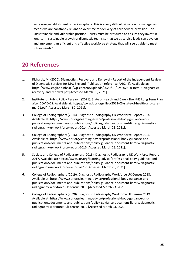increasing establishment of radiographers. This is a very difficult situation to manage, and means we are constantly reliant on overtime for delivery of core service provision – an unsustainable and vulnerable position. Trusts must be pressured to ensure they invest in long-term sustainable growth of diagnostic teams so that we as service leads can develop and implement an efficient and effective workforce strategy that will see us able to meet future needs."

#### **20 References**

- <span id="page-24-0"></span>1. Richards, M. (2020). Diagnostics: Recovery and Renewal - Report of the Independent Review of Diagnostic Services for NHS England (Publication reference PAR242). Available at: https://www.england.nhs.uk/wp-content/uploads/2020/10/BM2025Pu-item-5-diagnosticsrecovery-and-renewal.pdf [Accessed March 30, 2021].
- 2. Institute for Public Policy Research (2021). State of Health and Care The NHS Long Term Plan after COVID-19. Available at: https://www.ippr.org/files/2021-03/state-of-health-and-caremar21.pdf [Accessed March 30, 2021].
- 3. College of Radiographers (2014). Diagnostic Radiography UK Workforce Report 2014. Available at: https://www.sor.org/learning-advice/professional-body-guidance-andpublications/documents-and-publications/policy-guidance-document-library/diagnosticradiography-uk-workforce-report-2014 [Accessed March 23, 2021].
- 4. College of Radiographers (2016). Diagnostic Radiography UK Workforce Report 2016. Available at: https://www.sor.org/learning-advice/professional-body-guidance-andpublications/documents-and-publications/policy-guidance-document-library/diagnosticradiography-uk-workforce-report-2016 [Accessed March 23, 2021].
- 5. Society and College of Radiographers (2018). Diagnostic Radiography UK Workforce Report 2017. Available at: https://www.sor.org/learning-advice/professional-body-guidance-andpublications/documents-and-publications/policy-guidance-document-library/diagnosticradiography-uk-workforce-report-2017 [Accessed March 23, 2021].
- 6. College of Radiographers (2019). Diagnostic Radiography Workforce UK Census 2018. Available at: https://www.sor.org/learning-advice/professional-body-guidance-andpublications/documents-and-publications/policy-guidance-document-library/diagnosticradiography-workforce-uk-census-2018 [Accessed March 23, 2021].
- 7. College of Radiographers (2020). Diagnostic Radiography Workforce UK Census 2019. Available at: https://www.sor.org/learning-advice/professional-body-guidance-andpublications/documents-and-publications/policy-guidance-document-library/diagnosticradiography-workforce-uk-census-2019 [Accessed March 23, 2021].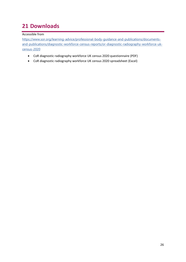## <span id="page-25-0"></span>**21 Downloads**

#### Accessible from

[https://www.sor.org/learning-advice/professional-body-guidance-and-publications/documents](https://www.sor.org/learning-advice/professional-body-guidance-and-publications/documents-and-publications/diagnostic-workforce-census-reports/or-diagnostic-radiography-workforce-uk-census-2020)[and-publications/diagnostic-workforce-census-reports/or-diagnostic-radiography-workforce-uk](https://www.sor.org/learning-advice/professional-body-guidance-and-publications/documents-and-publications/diagnostic-workforce-census-reports/or-diagnostic-radiography-workforce-uk-census-2020)[census-2020](https://www.sor.org/learning-advice/professional-body-guidance-and-publications/documents-and-publications/diagnostic-workforce-census-reports/or-diagnostic-radiography-workforce-uk-census-2020)

- CoR diagnostic radiography workforce UK census 2020 questionnaire (PDF)
- CoR diagnostic radiography workforce UK census 2020 spreadsheet (Excel)